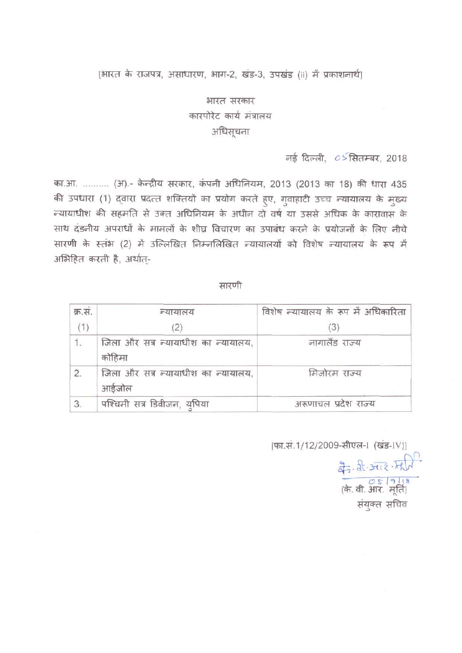## [भारत के राजपत्र, असाधारण, भाग-2, खंड-3, उपखंड (ii) में प्रकाशनार्थ)

# भारत सरकार कारपोरेट कार्य मंत्रालय अधिसूचना

नई दिल्ली, 05सितम्बर, 2018

का.आ. ......... (अ) - केन्द्रीय सरकार, कंपनी अधिनियम, 2013 (2013 का 18) की धारा 435 की उपधारा (1) द्वारा प्रदत्त शक्तियों का प्रयोग करते हुए, गुवाहाटी उच्च न्यायालय के मुख्य .<br>न्यायाधीश की सहमति से उक्त अधिनियम के अधीन दो वर्ष या उससे अधिक के कारावास के साथ दंडनीय अपराधों के मामलों के शीघ्र विचारण का उपाबंध करने के प्रयोजनों के लिए नीचे सारणी के स्तंभ (2) में उल्लिखित निम्नलिखित न्यायालयों को विशेष न्यायालय के रूप में अभिहित करती है, अर्थात-

सारणी

| क्र.सं. | न्यायालय                                      | विशेष न्यायालय के रूप में अधिकारिता |
|---------|-----------------------------------------------|-------------------------------------|
| (1)     | (2)                                           |                                     |
| 1.      | जिला और सत्र न्यायाधीश का न्यायालय,<br>कोहिमा | नागालैंड राज्य                      |
| 2.      | जिला और सत्र न्यायाधीश का न्यायालय,<br>आईजोल  | मिजोरम राज्य                        |
| 3.      | पश्चिमी सत्र डिवीजन, युपिया                   | अरूणाचल प्रदेश राज्य                |

[फा.सं.1/12/2009-सीएल-1 (खंड-IV)]

संयुक्त सचिव